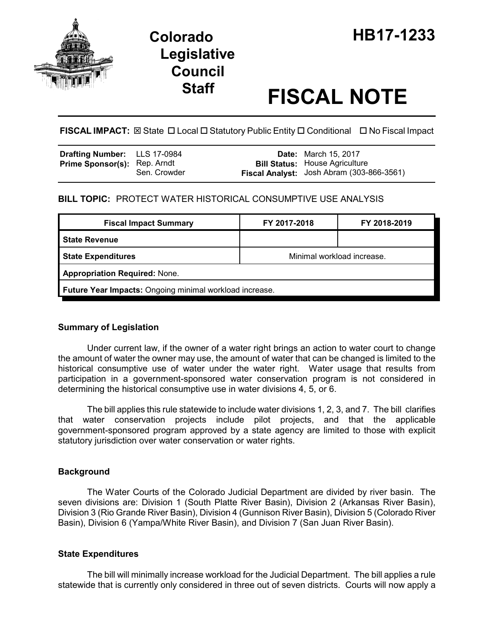

# **Legislative Council**

# **Staff FISCAL NOTE**

**FISCAL IMPACT:** ⊠ State □ Local □ Statutory Public Entity □ Conditional □ No Fiscal Impact

| <b>Drafting Number:</b> LLS 17-0984 |              | <b>Date:</b> March 15, 2017                                                        |
|-------------------------------------|--------------|------------------------------------------------------------------------------------|
| <b>Prime Sponsor(s): Rep. Arndt</b> | Sen. Crowder | <b>Bill Status:</b> House Agriculture<br>Fiscal Analyst: Josh Abram (303-866-3561) |

## **BILL TOPIC:** PROTECT WATER HISTORICAL CONSUMPTIVE USE ANALYSIS

| <b>Fiscal Impact Summary</b>                            | FY 2017-2018               | FY 2018-2019 |  |  |  |
|---------------------------------------------------------|----------------------------|--------------|--|--|--|
| <b>State Revenue</b>                                    |                            |              |  |  |  |
| <b>State Expenditures</b>                               | Minimal workload increase. |              |  |  |  |
| <b>Appropriation Required: None.</b>                    |                            |              |  |  |  |
| Future Year Impacts: Ongoing minimal workload increase. |                            |              |  |  |  |

### **Summary of Legislation**

Under current law, if the owner of a water right brings an action to water court to change the amount of water the owner may use, the amount of water that can be changed is limited to the historical consumptive use of water under the water right. Water usage that results from participation in a government-sponsored water conservation program is not considered in determining the historical consumptive use in water divisions 4, 5, or 6.

The bill applies this rule statewide to include water divisions 1, 2, 3, and 7. The bill clarifies that water conservation projects include pilot projects, and that the applicable government-sponsored program approved by a state agency are limited to those with explicit statutory jurisdiction over water conservation or water rights.

### **Background**

The Water Courts of the Colorado Judicial Department are divided by river basin. The seven divisions are: Division 1 (South Platte River Basin), Division 2 (Arkansas River Basin), Division 3 (Rio Grande River Basin), Division 4 (Gunnison River Basin), Division 5 (Colorado River Basin), Division 6 (Yampa/White River Basin), and Division 7 (San Juan River Basin).

### **State Expenditures**

The bill will minimally increase workload for the Judicial Department. The bill applies a rule statewide that is currently only considered in three out of seven districts. Courts will now apply a